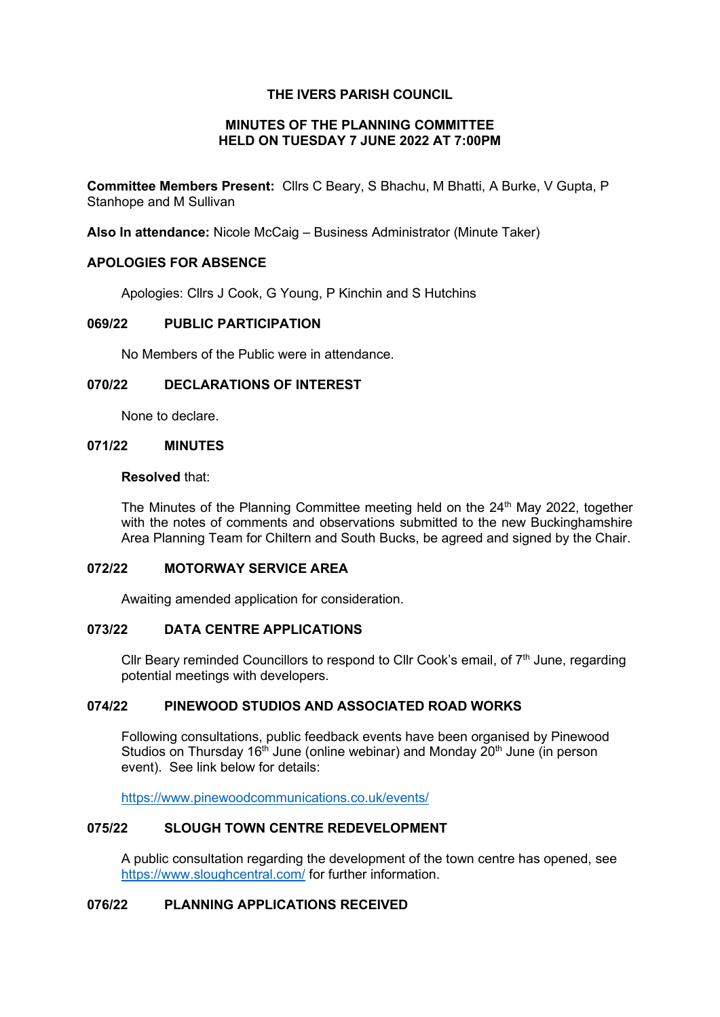### **THE IVERS PARISH COUNCIL**

#### **MINUTES OF THE PLANNING COMMITTEE HELD ON TUESDAY 7 JUNE 2022 AT 7:00PM**

**Committee Members Present:** Cllrs C Beary, S Bhachu, M Bhatti, A Burke, V Gupta, P Stanhope and M Sullivan

**Also In attendance:** Nicole McCaig – Business Administrator (Minute Taker)

### **APOLOGIES FOR ABSENCE**

Apologies: Cllrs J Cook, G Young, P Kinchin and S Hutchins

### **069/22 PUBLIC PARTICIPATION**

No Members of the Public were in attendance.

#### **070/22 DECLARATIONS OF INTEREST**

None to declare.

#### **071/22 MINUTES**

#### **Resolved** that:

The Minutes of the Planning Committee meeting held on the  $24<sup>th</sup>$  May 2022, together with the notes of comments and observations submitted to the new Buckinghamshire Area Planning Team for Chiltern and South Bucks, be agreed and signed by the Chair.

#### **072/22 MOTORWAY SERVICE AREA**

Awaiting amended application for consideration.

#### **073/22 DATA CENTRE APPLICATIONS**

Cllr Beary reminded Councillors to respond to Cllr Cook's email, of  $7<sup>th</sup>$  June, regarding potential meetings with developers.

### **074/22 PINEWOOD STUDIOS AND ASSOCIATED ROAD WORKS**

Following consultations, public feedback events have been organised by Pinewood Studios on Thursday 16<sup>th</sup> June (online webinar) and Monday  $20<sup>th</sup>$  June (in person event). See link below for details:

<https://www.pinewoodcommunications.co.uk/events/>

#### **075/22 SLOUGH TOWN CENTRE REDEVELOPMENT**

A public consultation regarding the development of the town centre has opened, see <https://www.sloughcentral.com/> for further information.

# **076/22 PLANNING APPLICATIONS RECEIVED**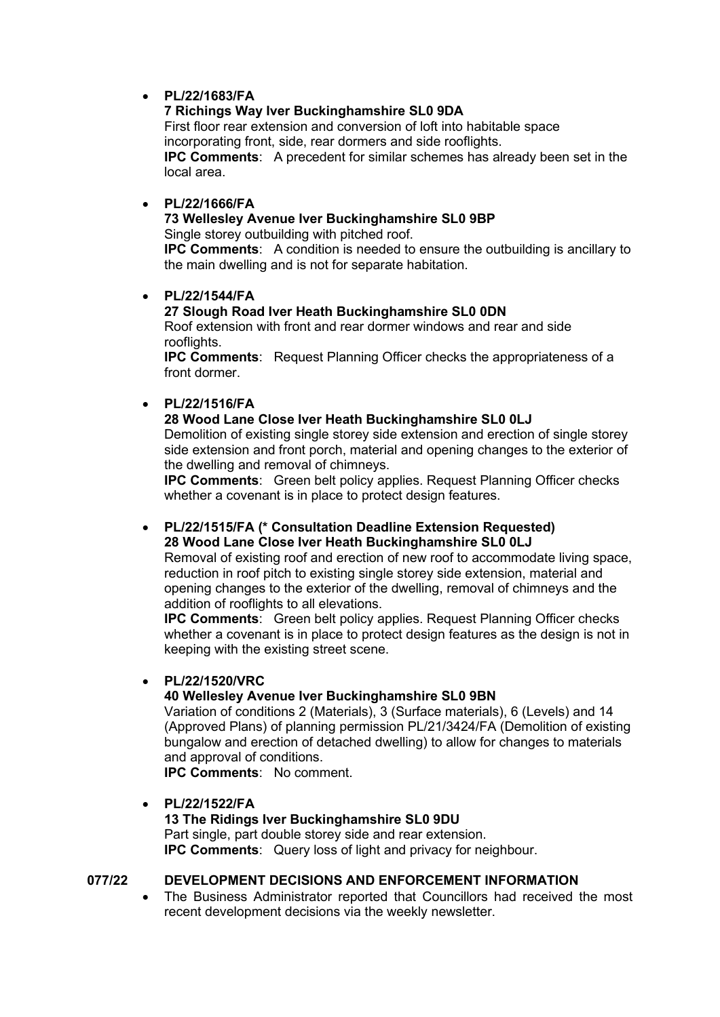# • **PL/22/1683/FA**

# **7 Richings Way Iver Buckinghamshire SL0 9DA**

First floor rear extension and conversion of loft into habitable space incorporating front, side, rear dormers and side rooflights. **IPC Comments**: A precedent for similar schemes has already been set in the local area.

# • **PL/22/1666/FA**

### **73 Wellesley Avenue Iver Buckinghamshire SL0 9BP**

Single storey outbuilding with pitched roof.

**IPC Comments**: A condition is needed to ensure the outbuilding is ancillary to the main dwelling and is not for separate habitation.

# • **PL/22/1544/FA**

# **27 Slough Road Iver Heath Buckinghamshire SL0 0DN**

Roof extension with front and rear dormer windows and rear and side rooflights

**IPC Comments**: Request Planning Officer checks the appropriateness of a front dormer.

# • **PL/22/1516/FA**

### **28 Wood Lane Close Iver Heath Buckinghamshire SL0 0LJ**

Demolition of existing single storey side extension and erection of single storey side extension and front porch, material and opening changes to the exterior of the dwelling and removal of chimneys.

**IPC Comments**: Green belt policy applies. Request Planning Officer checks whether a covenant is in place to protect design features.

### • **PL/22/1515/FA (\* Consultation Deadline Extension Requested) 28 Wood Lane Close Iver Heath Buckinghamshire SL0 0LJ**

Removal of existing roof and erection of new roof to accommodate living space, reduction in roof pitch to existing single storey side extension, material and opening changes to the exterior of the dwelling, removal of chimneys and the addition of rooflights to all elevations.

**IPC Comments**: Green belt policy applies. Request Planning Officer checks whether a covenant is in place to protect design features as the design is not in keeping with the existing street scene.

### • **PL/22/1520/VRC**

# **40 Wellesley Avenue Iver Buckinghamshire SL0 9BN**

Variation of conditions 2 (Materials), 3 (Surface materials), 6 (Levels) and 14 (Approved Plans) of planning permission PL/21/3424/FA (Demolition of existing bungalow and erection of detached dwelling) to allow for changes to materials and approval of conditions.

**IPC Comments**: No comment.

### • **PL/22/1522/FA**

# **13 The Ridings Iver Buckinghamshire SL0 9DU**

Part single, part double storey side and rear extension. **IPC Comments**: Query loss of light and privacy for neighbour.

# **077/22 DEVELOPMENT DECISIONS AND ENFORCEMENT INFORMATION**

• The Business Administrator reported that Councillors had received the most recent development decisions via the weekly newsletter.